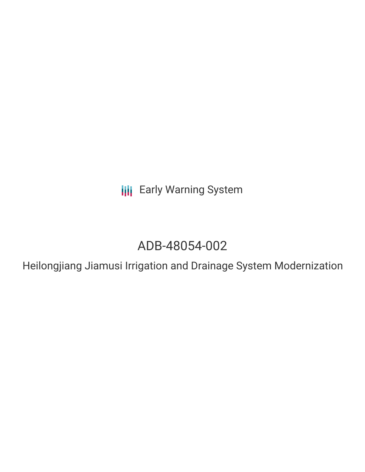**III** Early Warning System

# ADB-48054-002

Heilongjiang Jiamusi Irrigation and Drainage System Modernization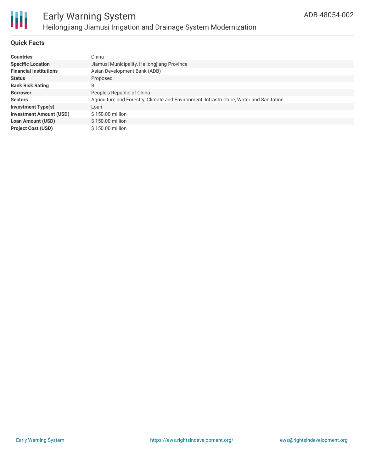

# **Quick Facts**

| <b>Countries</b>               | China                                                                                   |
|--------------------------------|-----------------------------------------------------------------------------------------|
| <b>Specific Location</b>       | Jiamusi Municipality, Heilongjiang Province                                             |
| <b>Financial Institutions</b>  | Asian Development Bank (ADB)                                                            |
| <b>Status</b>                  | Proposed                                                                                |
| <b>Bank Risk Rating</b>        | B                                                                                       |
| <b>Borrower</b>                | People's Republic of China                                                              |
| <b>Sectors</b>                 | Agriculture and Forestry, Climate and Environment, Infrastructure, Water and Sanitation |
| <b>Investment Type(s)</b>      | Loan                                                                                    |
| <b>Investment Amount (USD)</b> | $$150.00$ million                                                                       |
| <b>Loan Amount (USD)</b>       | \$150.00 million                                                                        |
| <b>Project Cost (USD)</b>      | \$150.00 million                                                                        |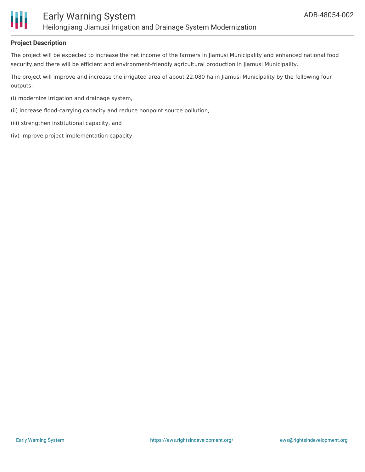

# **Project Description**

The project will be expected to increase the net income of the farmers in Jiamusi Municipality and enhanced national food security and there will be efficient and environment-friendly agricultural production in Jiamusi Municipality.

The project will improve and increase the irrigated area of about 22,080 ha in Jiamusi Municipality by the following four outputs:

- (i) modernize irrigation and drainage system,
- (ii) increase flood-carrying capacity and reduce nonpoint source pollution,
- (iii) strengthen institutional capacity, and
- (iv) improve project implementation capacity.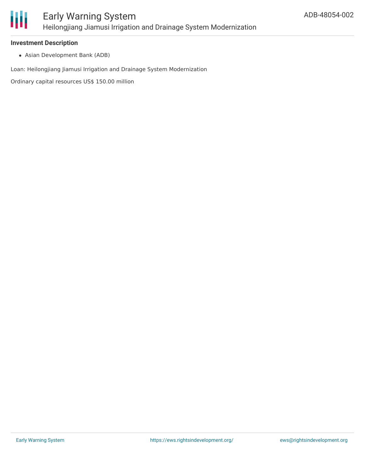

### **Investment Description**

Asian Development Bank (ADB)

Loan: Heilongjiang Jiamusi Irrigation and Drainage System Modernization

Ordinary capital resources US\$ 150.00 million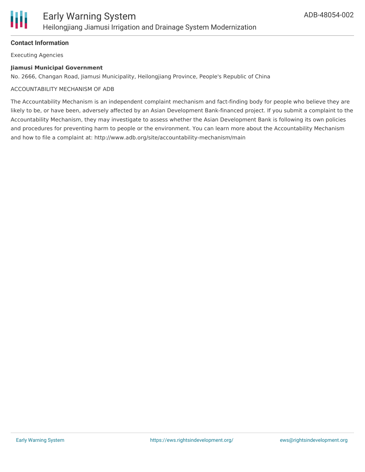

# **Contact Information**

Executing Agencies

#### **Jiamusi Municipal Government**

No. 2666, Changan Road, Jiamusi Municipality, Heilongjiang Province, People's Republic of China

#### ACCOUNTABILITY MECHANISM OF ADB

The Accountability Mechanism is an independent complaint mechanism and fact-finding body for people who believe they are likely to be, or have been, adversely affected by an Asian Development Bank-financed project. If you submit a complaint to the Accountability Mechanism, they may investigate to assess whether the Asian Development Bank is following its own policies and procedures for preventing harm to people or the environment. You can learn more about the Accountability Mechanism and how to file a complaint at: http://www.adb.org/site/accountability-mechanism/main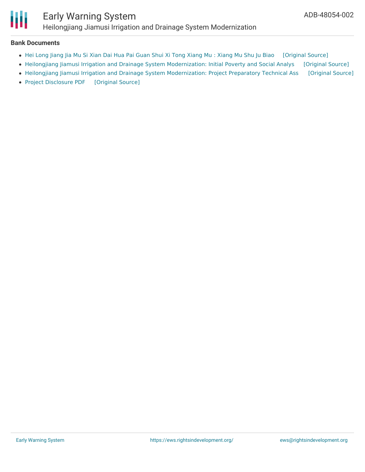

# Early Warning System Heilongjiang Jiamusi Irrigation and Drainage System Modernization

#### **Bank Documents**

- Hei Long Jiang Jia Mu Si Xian Dai Hua Pai Guan Shui Xi Tong [Xiang](https://ewsdata.rightsindevelopment.org/files/documents/02/ADB-48054-002_i8bkje4.pdf) Mu : Xiang Mu Shu Ju Biao [\[Original](https://www.adb.org/zh/projects/documents/48054-002-project-data-sheet) Source]
- Heilongjiang Jiamusi Irrigation and Drainage System [Modernization:](https://ewsdata.rightsindevelopment.org/files/documents/02/ADB-48054-002_yI7iCwm.pdf) Initial Poverty and Social Analys [\[Original](https://www.adb.org/projects/documents/heilongjiang-jiamusi-irrigation-and-drainage-system-modernization-ipsa) Source]
- Heilongjiang Jiamusi Irrigation and Drainage System [Modernization:](https://ewsdata.rightsindevelopment.org/files/documents/02/ADB-48054-002_V39YYQk.pdf) Project Preparatory Technical Ass [\[Original](https://www.adb.org/projects/documents/heilongjiang-jiamusi-irrigation-and-drainage-system-modernization-pptar) Source]
- Project [Disclosure](https://ewsdata.rightsindevelopment.org/files/documents/02/ADB-48054-002.pdf) PDF [\[Original](https://www.adb.org/printpdf/projects/48054-002/main) Source]